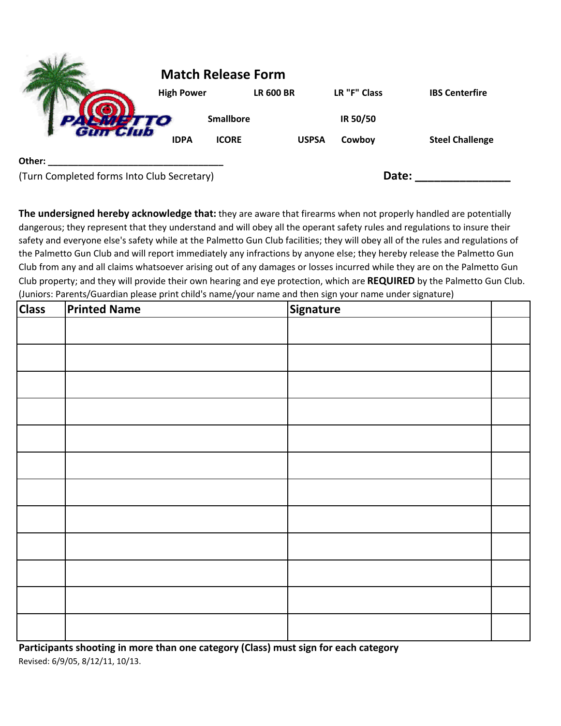|                                            | <b>Match Release Form</b> |                  |                  |              |                        |  |
|--------------------------------------------|---------------------------|------------------|------------------|--------------|------------------------|--|
|                                            | <b>High Power</b>         |                  | <b>LR 600 BR</b> | LR "F" Class | <b>IBS Centerfire</b>  |  |
|                                            |                           | <b>Smallbore</b> |                  | IR 50/50     |                        |  |
|                                            | <b>IDPA</b>               | <b>ICORE</b>     | <b>USPSA</b>     | Cowboy       | <b>Steel Challenge</b> |  |
| Other:                                     |                           |                  |                  |              |                        |  |
| (Turn Completed forms Into Club Secretary) |                           |                  |                  | Date:        |                        |  |

**The undersigned hereby acknowledge that:** they are aware that firearms when not properly handled are potentially dangerous; they represent that they understand and will obey all the operant safety rules and regulations to insure their safety and everyone else's safety while at the Palmetto Gun Club facilities; they will obey all of the rules and regulations of the Palmetto Gun Club and will report immediately any infractions by anyone else; they hereby release the Palmetto Gun Club from any and all claims whatsoever arising out of any damages or losses incurred while they are on the Palmetto Gun Club property; and they will provide their own hearing and eye protection, which are **REQUIRED** by the Palmetto Gun Club. (Juniors: Parents/Guardian please print child's name/your name and then sign your name under signature)

| <b>Class</b> | <b>Printed Name</b> | Signature |  |
|--------------|---------------------|-----------|--|
|              |                     |           |  |
|              |                     |           |  |
|              |                     |           |  |
|              |                     |           |  |
|              |                     |           |  |
|              |                     |           |  |
|              |                     |           |  |
|              |                     |           |  |
|              |                     |           |  |
|              |                     |           |  |
|              |                     |           |  |
|              |                     |           |  |

**Participants shooting in more than one category (Class) must sign for each category** Revised: 6/9/05, 8/12/11, 10/13.